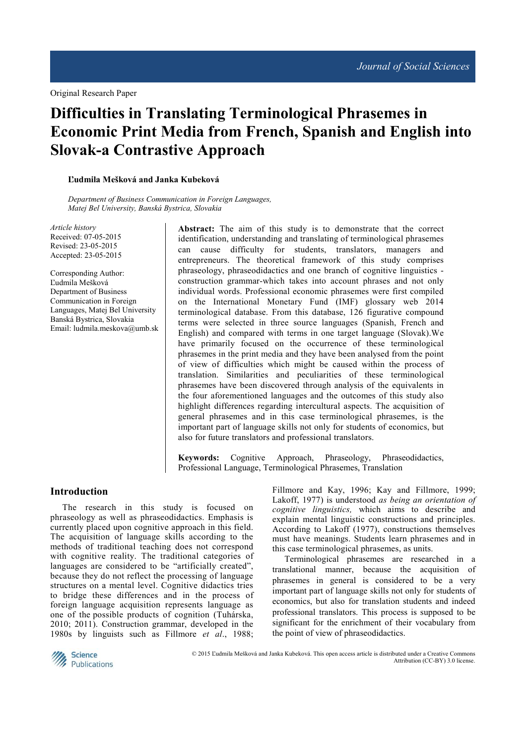Original Research Paper

# **Difficulties in Translating Terminological Phrasemes in Economic Print Media from French, Spanish and English into Slovak-a Contrastive Approach**

#### **Ľudmila Mešková and Janka Kubeková**

*Department of Business Communication in Foreign Languages, Matej Bel University, Banská Bystrica, Slovakia* 

*Article history*  Received: 07-05-2015 Revised: 23-05-2015 Accepted: 23-05-2015

Corresponding Author: Ľudmila Mešková Department of Business Communication in Foreign Languages, Matej Bel University Banská Bystrica, Slovakia Email: ludmila.meskova@umb.sk

**Abstract:** The aim of this study is to demonstrate that the correct identification, understanding and translating of terminological phrasemes can cause difficulty for students, translators, managers and entrepreneurs. The theoretical framework of this study comprises phraseology, phraseodidactics and one branch of cognitive linguistics construction grammar-which takes into account phrases and not only individual words. Professional economic phrasemes were first compiled on the International Monetary Fund (IMF) glossary web 2014 terminological database. From this database, 126 figurative compound terms were selected in three source languages (Spanish, French and English) and compared with terms in one target language (Slovak).We have primarily focused on the occurrence of these terminological phrasemes in the print media and they have been analysed from the point of view of difficulties which might be caused within the process of translation. Similarities and peculiarities of these terminological phrasemes have been discovered through analysis of the equivalents in the four aforementioned languages and the outcomes of this study also highlight differences regarding intercultural aspects. The acquisition of general phrasemes and in this case terminological phrasemes, is the important part of language skills not only for students of economics, but also for future translators and professional translators.

**Keywords:** Cognitive Approach, Phraseology, Phraseodidactics, Professional Language, Terminological Phrasemes, Translation

#### **Introduction**

The research in this study is focused on phraseology as well as phraseodidactics. Emphasis is currently placed upon cognitive approach in this field. The acquisition of language skills according to the methods of traditional teaching does not correspond with cognitive reality. The traditional categories of languages are considered to be "artificially created", because they do not reflect the processing of language structures on a mental level. Cognitive didactics tries to bridge these differences and in the process of foreign language acquisition represents language as one of the possible products of cognition (Tuhárska, 2010; 2011). Construction grammar, developed in the 1980s by linguists such as Fillmore *et al*., 1988;

Fillmore and Kay, 1996; Kay and Fillmore, 1999; Lakoff, 1977) is understood *as being an orientation of cognitive linguistics,* which aims to describe and explain mental linguistic constructions and principles. According to Lakoff (1977), constructions themselves must have meanings. Students learn phrasemes and in this case terminological phrasemes, as units.

Terminological phrasemes are researched in a translational manner, because the acquisition of phrasemes in general is considered to be a very important part of language skills not only for students of economics, but also for translation students and indeed professional translators. This process is supposed to be significant for the enrichment of their vocabulary from the point of view of phraseodidactics.



 © 2015 Ľudmila Mešková and Janka Kubeková. This open access article is distributed under a Creative Commons Attribution (CC-BY) 3.0 license.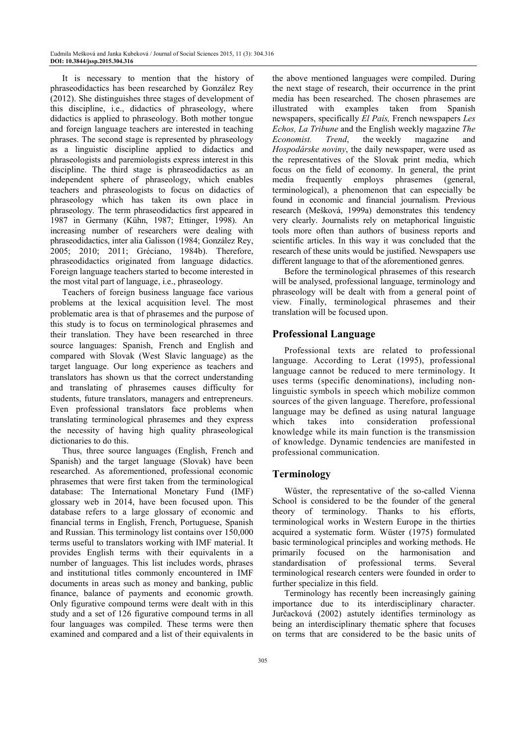It is necessary to mention that the history of phraseodidactics has been researched by González Rey (2012). She distinguishes three stages of development of this discipline, i.e., didactics of phraseology, where didactics is applied to phraseology. Both mother tongue and foreign language teachers are interested in teaching phrases. The second stage is represented by phraseology as a linguistic discipline applied to didactics and phraseologists and paremiologists express interest in this discipline. The third stage is phraseodidactics as an independent sphere of phraseology, which enables teachers and phraseologists to focus on didactics of phraseology which has taken its own place in phraseology. The term phraseodidactics first appeared in 1987 in Germany (Kühn, 1987; Ettinger, 1998). An increasing number of researchers were dealing with phraseodidactics, inter alia Galisson (1984; González Rey, 2005; 2010; 2011; Gréciano, 1984b). Therefore, phraseodidactics originated from language didactics. Foreign language teachers started to become interested in the most vital part of language, i.e., phraseology.

Teachers of foreign business language face various problems at the lexical acquisition level. The most problematic area is that of phrasemes and the purpose of this study is to focus on terminological phrasemes and their translation. They have been researched in three source languages: Spanish, French and English and compared with Slovak (West Slavic language) as the target language. Our long experience as teachers and translators has shown us that the correct understanding and translating of phrasemes causes difficulty for students, future translators, managers and entrepreneurs. Even professional translators face problems when translating terminological phrasemes and they express the necessity of having high quality phraseological dictionaries to do this.

Thus, three source languages (English, French and Spanish) and the target language (Slovak) have been researched. As aforementioned, professional economic phrasemes that were first taken from the terminological database: The International Monetary Fund (IMF) glossary web in 2014, have been focused upon. This database refers to a large glossary of economic and financial terms in English, French, Portuguese, Spanish and Russian. This terminology list contains over 150,000 terms useful to translators working with IMF material. It provides English terms with their equivalents in a number of languages. This list includes words, phrases and institutional titles commonly encountered in IMF documents in areas such as money and banking, public finance, balance of payments and economic growth. Only figurative compound terms were dealt with in this study and a set of 126 figurative compound terms in all four languages was compiled. These terms were then examined and compared and a list of their equivalents in

the above mentioned languages were compiled. During the next stage of research, their occurrence in the print media has been researched. The chosen phrasemes are illustrated with examples taken from Spanish newspapers, specifically *El País,* French newspapers *Les Echos, La Tribune* and the English weekly magazine *The Economist. Trend*, the weekly magazine and *Hospodárske noviny*, the daily newspaper, were used as the representatives of the Slovak print media, which focus on the field of economy. In general, the print media frequently employs phrasemes (general, terminological), a phenomenon that can especially be found in economic and financial journalism. Previous research (Mešková, 1999a) demonstrates this tendency very clearly. Journalists rely on metaphorical linguistic tools more often than authors of business reports and scientific articles. In this way it was concluded that the research of these units would be justified. Newspapers use different language to that of the aforementioned genres.

Before the terminological phrasemes of this research will be analysed, professional language, terminology and phraseology will be dealt with from a general point of view. Finally, terminological phrasemes and their translation will be focused upon.

## **Professional Language**

Professional texts are related to professional language. According to Lerat (1995), professional language cannot be reduced to mere terminology. It uses terms (specific denominations), including nonlinguistic symbols in speech which mobilize common sources of the given language. Therefore, professional language may be defined as using natural language which takes into consideration professional knowledge while its main function is the transmission of knowledge. Dynamic tendencies are manifested in professional communication.

#### **Terminology**

Wűster, the representative of the so-called Vienna School is considered to be the founder of the general theory of terminology. Thanks to his efforts, terminological works in Western Europe in the thirties acquired a systematic form. Wüster (1975) formulated basic terminological principles and working methods. He primarily focused on the harmonisation and standardisation of professional terms. Several terminological research centers were founded in order to further specialize in this field.

Terminology has recently been increasingly gaining importance due to its interdisciplinary character. Jurčacková (2002) astutely identifies terminology as being an interdisciplinary thematic sphere that focuses on terms that are considered to be the basic units of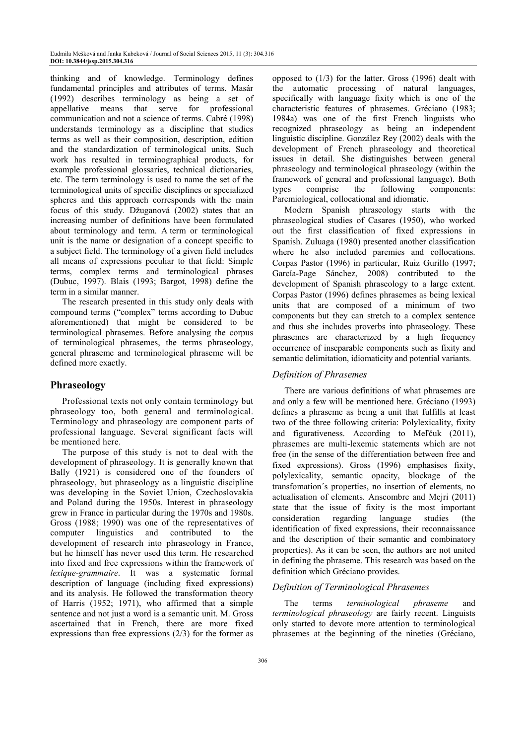thinking and of knowledge. Terminology defines fundamental principles and attributes of terms. Masár (1992) describes terminology as being a set of appellative means that serve for professional communication and not a science of terms. Cabré (1998) understands terminology as a discipline that studies terms as well as their composition, description, edition and the standardization of terminological units. Such work has resulted in terminographical products, for example professional glossaries, technical dictionaries, etc. The term terminology is used to name the set of the terminological units of specific disciplines or specialized spheres and this approach corresponds with the main focus of this study. Džuganová (2002) states that an increasing number of definitions have been formulated about terminology and term. A term or terminological unit is the name or designation of a concept specific to a subject field. The terminology of a given field includes all means of expressions peculiar to that field: Simple terms, complex terms and terminological phrases (Dubuc, 1997). Blais (1993; Bargot, 1998) define the term in a similar manner.

The research presented in this study only deals with compound terms ("complex" terms according to Dubuc aforementioned) that might be considered to be terminological phrasemes. Before analysing the corpus of terminological phrasemes, the terms phraseology, general phraseme and terminological phraseme will be defined more exactly.

# **Phraseology**

Professional texts not only contain terminology but phraseology too, both general and terminological. Terminology and phraseology are component parts of professional language. Several significant facts will be mentioned here.

The purpose of this study is not to deal with the development of phraseology. It is generally known that Bally (1921) is considered one of the founders of phraseology, but phraseology as a linguistic discipline was developing in the Soviet Union, Czechoslovakia and Poland during the 1950s. Interest in phraseology grew in France in particular during the 1970s and 1980s. Gross (1988; 1990) was one of the representatives of computer linguistics and contributed to the development of research into phraseology in France, but he himself has never used this term. He researched into fixed and free expressions within the framework of *lexique-grammaire*. It was a systematic formal description of language (including fixed expressions) and its analysis. He followed the transformation theory of Harris (1952; 1971), who affirmed that a simple sentence and not just a word is a semantic unit. M. Gross ascertained that in French, there are more fixed expressions than free expressions (2/3) for the former as

opposed to (1/3) for the latter. Gross (1996) dealt with the automatic processing of natural languages, specifically with language fixity which is one of the characteristic features of phrasemes. Gréciano (1983; 1984a) was one of the first French linguists who recognized phraseology as being an independent linguistic discipline. González Rey (2002) deals with the development of French phraseology and theoretical issues in detail. She distinguishes between general phraseology and terminological phraseology (within the framework of general and professional language). Both types comprise the following components: Paremiological, collocational and idiomatic.

Modern Spanish phraseology starts with the phraseological studies of Casares (1950), who worked out the first classification of fixed expressions in Spanish. Zuluaga (1980) presented another classification where he also included paremies and collocations. Corpas Pastor (1996) in particular, Ruiz Gurillo (1997; García-Page Sánchez, 2008) contributed to the development of Spanish phraseology to a large extent. Corpas Pastor (1996) defines phrasemes as being lexical units that are composed of a minimum of two components but they can stretch to a complex sentence and thus she includes proverbs into phraseology. These phrasemes are characterized by a high frequency occurrence of inseparable components such as fixity and semantic delimitation, idiomaticity and potential variants.

#### *Definition of Phrasemes*

There are various definitions of what phrasemes are and only a few will be mentioned here. Gréciano (1993) defines a phraseme as being a unit that fulfills at least two of the three following criteria: Polylexicality, fixity and figurativeness. According to Meľčuk (2011), phrasemes are multi-lexemic statements which are not free (in the sense of the differentiation between free and fixed expressions). Gross (1996) emphasises fixity, polylexicality, semantic opacity, blockage of the transfomation´s properties, no insertion of elements, no actualisation of elements. Anscombre and Mejri (2011) state that the issue of fixity is the most important consideration regarding language studies (the identification of fixed expressions, their reconnaissance and the description of their semantic and combinatory properties). As it can be seen, the authors are not united in defining the phraseme. This research was based on the definition which Gréciano provides.

#### *Definition of Terminological Phrasemes*

The terms *terminological phraseme* and *terminological phraseology* are fairly recent. Linguists only started to devote more attention to terminological phrasemes at the beginning of the nineties (Gréciano,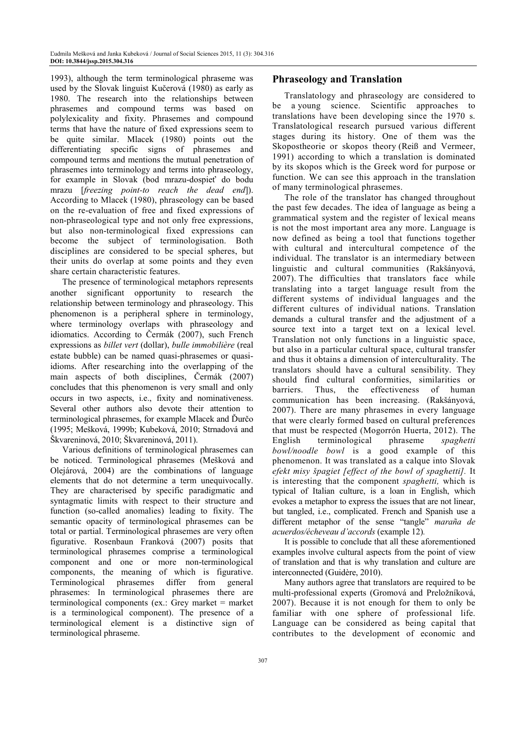1993), although the term terminological phraseme was used by the Slovak linguist Kučerová (1980) as early as 1980. The research into the relationships between phrasemes and compound terms was based on polylexicality and fixity. Phrasemes and compound terms that have the nature of fixed expressions seem to be quite similar. Mlacek (1980) points out the differentiating specific signs of phrasemes and compound terms and mentions the mutual penetration of phrasemes into terminology and terms into phraseology, for example in Slovak (bod mrazu-dospieť do bodu mrazu [*freezing point-to reach the dead end*]). According to Mlacek (1980), phraseology can be based on the re-evaluation of free and fixed expressions of non-phraseological type and not only free expressions, but also non-terminological fixed expressions can become the subject of terminologisation. Both disciplines are considered to be special spheres, but their units do overlap at some points and they even share certain characteristic features.

The presence of terminological metaphors represents another significant opportunity to research the relationship between terminology and phraseology. This phenomenon is a peripheral sphere in terminology, where terminology overlaps with phraseology and idiomatics. According to Čermák (2007), such French expressions as *billet vert* (dollar), *bulle immobilière* (real estate bubble) can be named quasi-phrasemes or quasiidioms. After researching into the overlapping of the main aspects of both disciplines, Čermák (2007) concludes that this phenomenon is very small and only occurs in two aspects, i.e., fixity and nominativeness. Several other authors also devote their attention to terminological phrasemes, for example Mlacek and Ďurčo (1995; Mešková, 1999b; Kubeková, 2010; Strnadová and Škvareninová, 2010; Škvareninová, 2011).

Various definitions of terminological phrasemes can be noticed. Terminological phrasemes (Mešková and Olejárová, 2004) are the combinations of language elements that do not determine a term unequivocally. They are characterised by specific paradigmatic and syntagmatic limits with respect to their structure and function (so-called anomalies) leading to fixity. The semantic opacity of terminological phrasemes can be total or partial. Terminological phrasemes are very often figurative. Rosenbaun Franková (2007) posits that terminological phrasemes comprise a terminological component and one or more non-terminological components, the meaning of which is figurative. Terminological phrasemes differ from general phrasemes: In terminological phrasemes there are terminological components (ex.: Grey market  $=$  market is a terminological component). The presence of a terminological element is a distinctive sign of terminological phraseme.

# **Phraseology and Translation**

Translatology and phraseology are considered to be a young science. Scientific approaches to translations have been developing since the 1970 s. Translatological research pursued various different stages during its history. One of them was the Skopostheorie or skopos theory (Reiß and Vermeer, 1991) according to which a translation is dominated by its skopos which is the Greek word for purpose or function. We can see this approach in the translation of many terminological phrasemes.

The role of the translator has changed throughout the past few decades. The idea of language as being a grammatical system and the register of lexical means is not the most important area any more. Language is now defined as being a tool that functions together with cultural and intercultural competence of the individual. The translator is an intermediary between linguistic and cultural communities (Rakšányová, 2007). The difficulties that translators face while translating into a target language result from the different systems of individual languages and the different cultures of individual nations. Translation demands a cultural transfer and the adjustment of a source text into a target text on a lexical level. Translation not only functions in a linguistic space, but also in a particular cultural space, cultural transfer and thus it obtains a dimension of interculturality. The translators should have a cultural sensibility. They should find cultural conformities, similarities or barriers. Thus, the effectiveness of human communication has been increasing. (Rakšányová, 2007). There are many phrasemes in every language that were clearly formed based on cultural preferences that must be respected (Mogorrón Huerta, 2012). The English terminological phraseme *spaghetti bowl/noodle bowl* is a good example of this phenomenon. It was translated as a calque into Slovak *efekt misy špagiet [effect of the bowl of spaghetti].* It is interesting that the component *spaghetti,* which is typical of Italian culture, is a loan in English, which evokes a metaphor to express the issues that are not linear, but tangled, i.e., complicated. French and Spanish use a different metaphor of the sense "tangle" *maraña de acuerdos/écheveau d'accords* (example 12)*.* 

It is possible to conclude that all these aforementioned examples involve cultural aspects from the point of view of translation and that is why translation and culture are interconnected (Guidère, 2010).

Many authors agree that translators are required to be multi-professional experts (Gromová and Preložníková, 2007). Because it is not enough for them to only be familiar with one sphere of professional life. Language can be considered as being capital that contributes to the development of economic and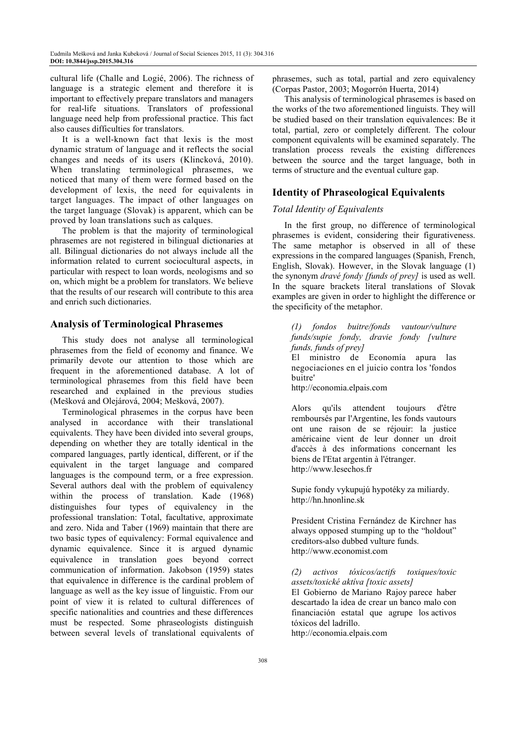cultural life (Challe and Logié, 2006). The richness of language is a strategic element and therefore it is important to effectively prepare translators and managers for real-life situations. Translators of professional language need help from professional practice. This fact also causes difficulties for translators.

It is a well-known fact that lexis is the most dynamic stratum of language and it reflects the social changes and needs of its users (Klincková, 2010). When translating terminological phrasemes, we noticed that many of them were formed based on the development of lexis, the need for equivalents in target languages. The impact of other languages on the target language (Slovak) is apparent, which can be proved by loan translations such as calques.

The problem is that the majority of terminological phrasemes are not registered in bilingual dictionaries at all. Bilingual dictionaries do not always include all the information related to current sociocultural aspects, in particular with respect to loan words, neologisms and so on, which might be a problem for translators. We believe that the results of our research will contribute to this area and enrich such dictionaries.

## **Analysis of Terminological Phrasemes**

This study does not analyse all terminological phrasemes from the field of economy and finance. We primarily devote our attention to those which are frequent in the aforementioned database. A lot of terminological phrasemes from this field have been researched and explained in the previous studies (Mešková and Olejárová, 2004; Mešková, 2007).

Terminological phrasemes in the corpus have been analysed in accordance with their translational equivalents. They have been divided into several groups, depending on whether they are totally identical in the compared languages, partly identical, different, or if the equivalent in the target language and compared languages is the compound term, or a free expression. Several authors deal with the problem of equivalency within the process of translation. Kade (1968) distinguishes four types of equivalency in the professional translation: Total, facultative, approximate and zero. Nida and Taber (1969) maintain that there are two basic types of equivalency: Formal equivalence and dynamic equivalence. Since it is argued dynamic equivalence in translation goes beyond correct communication of information. Jakobson (1959) states that equivalence in difference is the cardinal problem of language as well as the key issue of linguistic. From our point of view it is related to cultural differences of specific nationalities and countries and these differences must be respected. Some phraseologists distinguish between several levels of translational equivalents of

phrasemes, such as total, partial and zero equivalency (Corpas Pastor, 2003; Mogorrón Huerta, 2014)

This analysis of terminological phrasemes is based on the works of the two aforementioned linguists. They will be studied based on their translation equivalences: Be it total, partial, zero or completely different. The colour component equivalents will be examined separately. The translation process reveals the existing differences between the source and the target language, both in terms of structure and the eventual culture gap.

## **Identity of Phraseological Equivalents**

### *Total Identity of Equivalents*

In the first group, no difference of terminological phrasemes is evident, considering their figurativeness. The same metaphor is observed in all of these expressions in the compared languages (Spanish, French, English, Slovak). However, in the Slovak language (1) the synonym *dravé fondy [funds of prey]* is used as well. In the square brackets literal translations of Slovak examples are given in order to highlight the difference or the specificity of the metaphor.

*(1) fondos buitre/fonds vautour/vulture funds/supie fondy, dravie fondy [vulture funds, funds of prey]*  El ministro de Economía apura las negociaciones en el juicio contra los 'fondos buitre' http://economia.elpais.com

Alors qu'ils attendent toujours d'être remboursés par l'Argentine, les fonds vautours ont une raison de se réjouir: la justice américaine vient de leur donner un droit d'accès à des informations concernant les biens de l'Etat argentin à l'étranger. http://www.lesechos.fr

Supie fondy vykupujú hypotéky za miliardy. http://hn.hnonline.sk

President Cristina Fernández de Kirchner has always opposed stumping up to the "holdout" creditors-also dubbed vulture funds. http://www.economist.com

*(2) activos tóxicos/actifs toxiques/toxic assets/toxické aktíva [toxic assets]*

El Gobierno de Mariano Rajoy parece haber descartado la idea de crear un banco malo con financiación estatal que agrupe los activos tóxicos del ladrillo.

http://economia.elpais.com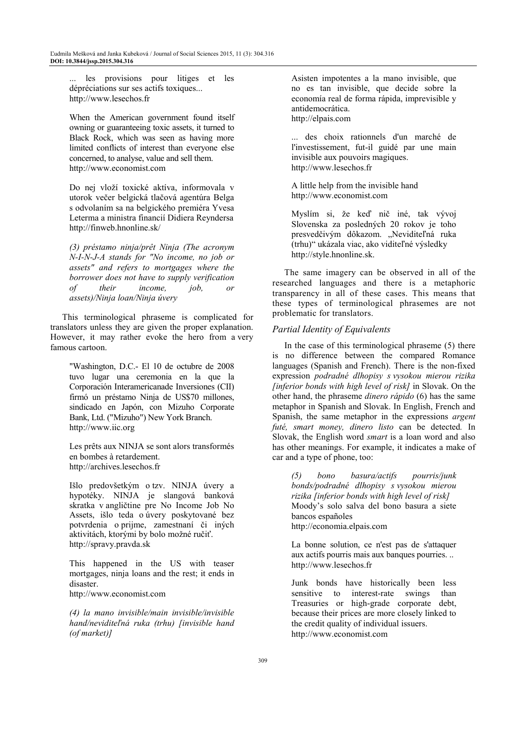les provisions pour litiges et les dépréciations sur ses actifs toxiques... http://www.lesechos.fr

When the American government found itself owning or guaranteeing toxic assets, it turned to Black Rock, which was seen as having more limited conflicts of interest than everyone else concerned, to analyse, value and sell them. http://www.economist.com

Do nej vloží toxické aktíva, informovala v utorok večer belgická tlačová agentúra Belga s odvolaním sa na belgického premiéra Yvesa Leterma a ministra financií Didiera Reyndersa http://finweb.hnonline.sk/

*(3) préstamo ninja/prêt Ninja (The acronym N-I-N-J-A stands for "No income, no job or assets" and refers to mortgages where the borrower does not have to supply verification of their income, job, or assets)/Ninja loan/Ninja úvery* 

This terminological phraseme is complicated for translators unless they are given the proper explanation. However, it may rather evoke the hero from a very famous cartoon.

"Washington, D.C.- El 10 de octubre de 2008 tuvo lugar una ceremonia en la que la Corporación Interamericanade Inversiones (CII) firmó un préstamo Ninja de US\$70 millones, sindicado en Japón, con Mizuho Corporate Bank, Ltd. ("Mizuho") New York Branch. http://www.iic.org

Les prêts aux NINJA se sont alors transformés en bombes à retardement. http://archives.lesechos.fr

Išlo predovšetkým o tzv. NINJA úvery a hypotéky. NINJA je slangová banková skratka v angličtine pre No Income Job No Assets, išlo teda o úvery poskytované bez potvrdenia o prijme, zamestnaní či iných aktivitách, ktorými by bolo možné ručiť. http://spravy.pravda.sk

This happened in the US with teaser mortgages, ninja loans and the rest; it ends in disaster.

http://www.economist.com

*(4) la mano invisible/main invisible/invisible hand/neviditeľná ruka (trhu) [invisible hand (of market)]* 

Asisten impotentes a la mano invisible, que no es tan invisible, que decide sobre la economía real de forma rápida, imprevisible y antidemocrática. http://elpais.com

... des choix rationnels d'un marché de l'investissement, fut-il guidé par une main invisible aux pouvoirs magiques. http://www.lesechos.fr

A little help from the invisible hand http://www.economist.com

Myslím si, že keď nič iné, tak vývoj Slovenska za posledných 20 rokov je toho presvedčivým dôkazom. "Neviditeľná ruka (trhu)" ukázala viac, ako viditeľné výsledky http://style.hnonline.sk.

The same imagery can be observed in all of the researched languages and there is a metaphoric transparency in all of these cases. This means that these types of terminological phrasemes are not problematic for translators.

#### *Partial Identity of Equivalents*

In the case of this terminological phraseme (5) there is no difference between the compared Romance languages (Spanish and French). There is the non-fixed expression *podradné dlhopisy s vysokou mierou rizika [inferior bonds with high level of risk]* in Slovak. On the other hand, the phraseme *dinero rápido* (6) has the same metaphor in Spanish and Slovak. In English, French and Spanish, the same metaphor in the expressions *argent futé, smart money, dinero listo* can be detected*.* In Slovak, the English word *smart* is a loan word and also has other meanings. For example, it indicates a make of car and a type of phone, too:

*(5) bono basura/actifs pourris/junk bonds/podradné dlhopisy s vysokou mierou rizika [inferior bonds with high level of risk]*  Moody's solo salva del bono basura a siete bancos españoles http://economia.elpais.com

La bonne solution, ce n'est pas de s'attaquer aux actifs pourris mais aux banques pourries. .. http://www.lesechos.fr

Junk bonds have historically been less sensitive to interest-rate swings than Treasuries or high-grade corporate debt, because their prices are more closely linked to the credit quality of individual issuers. http://www.economist.com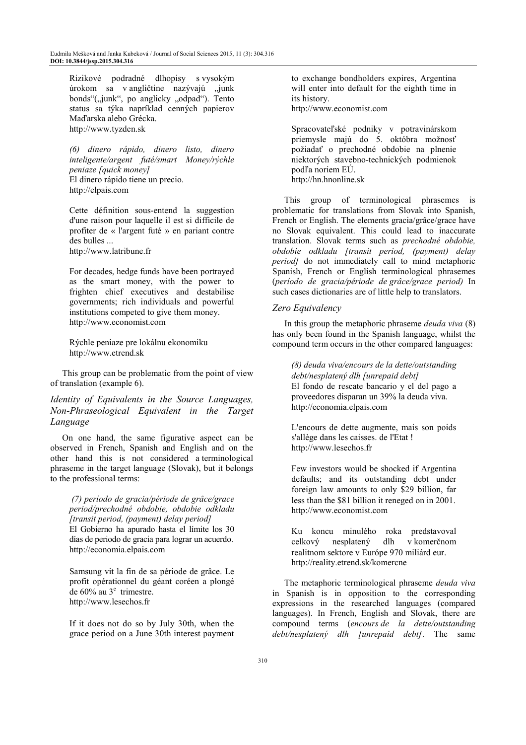Rizikové podradné dlhopisy s vysokým úrokom sa v angličtine nazývajú "junk bonds"("junk", po anglicky "odpad"). Tento status sa týka napríklad cenných papierov Maďarska alebo Grécka. http://www.tyzden.sk

*(6) dinero rápido, dinero listo, dinero inteligente/argent futé/smart Money/rýchle peniaze [quick money]*  El dinero rápido tiene un precio. http://elpais.com

Cette définition sous-entend la suggestion d'une raison pour laquelle il est si difficile de profiter de « l'argent futé » en pariant contre des bulles ...

http://www.latribune.fr

For decades, hedge funds have been portrayed as the smart money, with the power to frighten chief executives and destabilise governments; rich individuals and powerful institutions competed to give them money. http://www.economist.com

Rýchle peniaze pre lokálnu ekonomiku http://www.etrend.sk

This group can be problematic from the point of view of translation (example 6).

## *Identity of Equivalents in the Source Languages, Non-Phraseological Equivalent in the Target Language*

On one hand, the same figurative aspect can be observed in French, Spanish and English and on the other hand this is not considered a terminological phraseme in the target language (Slovak), but it belongs to the professional terms:

 *(7) período de gracia/période de grâce/grace period/prechodné obdobie, obdobie odkladu [transit period, (payment) delay period]*  El Gobierno ha apurado hasta el límite los 30 días de periodo de gracia para lograr un acuerdo. http://economia.elpais.com

Samsung vit la fin de sa période de grâce. Le profit opérationnel du géant coréen a plongé de 60% au 3<sup>e</sup> trimestre. http://www.lesechos.fr

If it does not do so by July 30th, when the grace period on a June 30th interest payment to exchange bondholders expires, Argentina will enter into default for the eighth time in its history. http://www.economist.com

Spracovateľské podniky v potravinárskom priemysle majú do 5. októbra možnosť požiadať o prechodné obdobie na plnenie niektorých stavebno-technických podmienok podľa noriem EÚ. http://hn.hnonline.sk

This group of terminological phrasemes is problematic for translations from Slovak into Spanish, French or English. The elements gracia/grâce/grace have no Slovak equivalent. This could lead to inaccurate translation. Slovak terms such as *prechodné obdobie, obdobie odkladu [transit period, (payment) delay period]* do not immediately call to mind metaphoric Spanish, French or English terminological phrasemes (*período de gracia/période de grâce/grace period)* In such cases dictionaries are of little help to translators.

#### *Zero Equivalency*

In this group the metaphoric phraseme *deuda viva* (8) has only been found in the Spanish language, whilst the compound term occurs in the other compared languages:

*(8) deuda viva/encours de la dette/outstanding debt/nesplatený dlh [unrepaid debt]*  El fondo de rescate bancario y el del pago a proveedores disparan un 39% la deuda viva. http://economia.elpais.com

L'encours de dette augmente, mais son poids s'allège dans les caisses. de l'Etat ! http://www.lesechos.fr

Few investors would be shocked if Argentina defaults; and its outstanding debt under foreign law amounts to only \$29 billion, far less than the \$81 billion it reneged on in 2001. http://www.economist.com

Ku koncu minulého roka predstavoval celkový nesplatený dlh v komerčnom realitnom sektore v Európe 970 miliárd eur. http://reality.etrend.sk/komercne

The metaphoric terminological phraseme *deuda viva* in Spanish is in opposition to the corresponding expressions in the researched languages (compared languages). In French, English and Slovak, there are compound terms (*encours de la dette/outstanding debt/nesplatený dlh [unrepaid debt]*. The same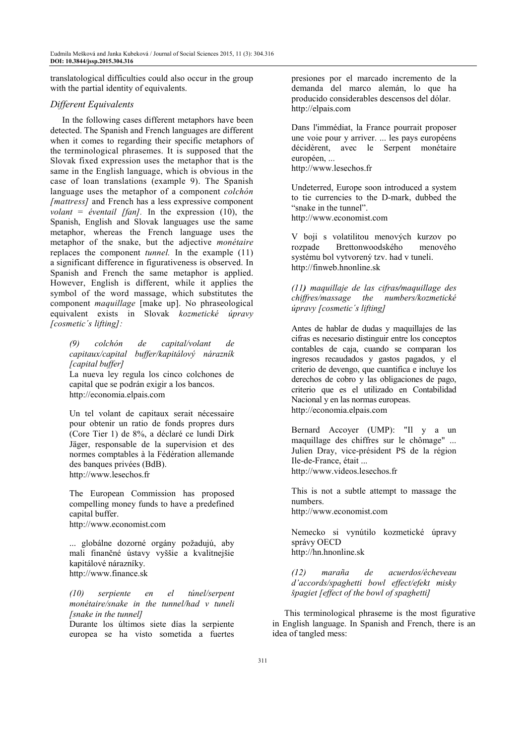translatological difficulties could also occur in the group with the partial identity of equivalents.

#### *Different Equivalents*

In the following cases different metaphors have been detected. The Spanish and French languages are different when it comes to regarding their specific metaphors of the terminological phrasemes. It is supposed that the Slovak fixed expression uses the metaphor that is the same in the English language, which is obvious in the case of loan translations (example 9). The Spanish language uses the metaphor of a component *colchón [mattress]* and French has a less expressive component *volant* = *éventail [fan].* In the expression (10), the Spanish, English and Slovak languages use the same metaphor, whereas the French language uses the metaphor of the snake, but the adjective *monétaire*  replaces the component *tunnel.* In the example (11) a significant difference in figurativeness is observed. In Spanish and French the same metaphor is applied. However, English is different, while it applies the symbol of the word massage, which substitutes the component *maquillage* [make up]. No phraseological equivalent exists in Slovak *kozmetické úpravy [cosmetic´s lifting]:* 

*(9) colchón de capital/volant de capitaux/capital buffer/kapitálový nárazník [capital buffer]* 

La nueva ley regula los cinco colchones de capital que se podrán exigir a los bancos. http://economia.elpais.com

Un tel volant de capitaux serait nécessaire pour obtenir un ratio de fonds propres durs (Core Tier 1) de 8%, a déclaré ce lundi Dirk Jäger, responsable de la supervision et des normes comptables à la Fédération allemande des banques privées (BdB). http://www.lesechos.fr

The European Commission has proposed compelling money funds to have a predefined capital buffer. http://www.economist.com

... globálne dozorné orgány požadujú, aby mali finančné ústavy vyššie a kvalitnejšie kapitálové nárazníky. http://www.finance.sk

*(10) serpiente en el túnel/serpent monétaire/snake in the tunnel/had v tuneli [snake in the tunnel]* 

Durante los últimos siete días la serpiente europea se ha visto sometida a fuertes presiones por el marcado incremento de la demanda del marco alemán, lo que ha producido considerables descensos del dólar. http://elpais.com

Dans l'immédiat, la France pourrait proposer une voie pour y arriver. ... les pays européens décidèrent, avec le Serpent monétaire européen, ... http://www.lesechos.fr

Undeterred, Europe soon introduced a system to tie currencies to the D-mark, dubbed the "snake in the tunnel". http://www.economist.com

V boji s volatilitou menových kurzov po rozpade Brettonwoodského menového systému bol vytvorený tzv. had v tuneli. http://finweb.hnonline.sk

*(11) maquillaje de las cifras/maquillage des chiffres/massage the numbers/kozmetické úpravy [cosmetic´s lifting]*

Antes de hablar de dudas y maquillajes de las cifras es necesario distinguir entre los conceptos contables de caja, cuando se comparan los ingresos recaudados y gastos pagados, y el criterio de devengo, que cuantifica e incluye los derechos de cobro y las obligaciones de pago, criterio que es el utilizado en Contabilidad Nacional y en las normas europeas. http://economia.elpais.com

Bernard Accoyer (UMP): "Il y a un maquillage des chiffres sur le chômage" ... Julien Dray, vice-président PS de la région Ile-de-France, était ... http://www.videos.lesechos.fr

This is not a subtle attempt to massage the numbers. http://www.economist.com

Nemecko si vynútilo kozmetické úpravy správy OECD http://hn.hnonline.sk

*(12) maraña de acuerdos/écheveau d'accords/spaghetti bowl effect/efekt misky špagiet [effect of the bowl of spaghetti]* 

This terminological phraseme is the most figurative in English language. In Spanish and French, there is an idea of tangled mess: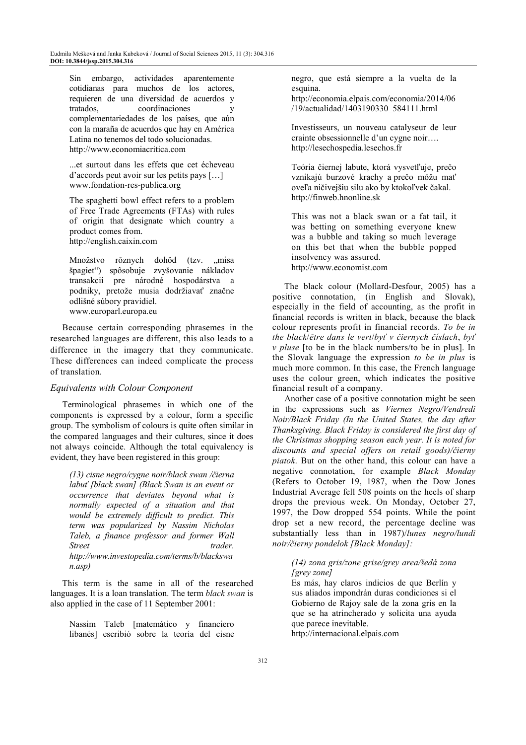Sin embargo, actividades aparentemente cotidianas para muchos de los actores, requieren de una diversidad de acuerdos y tratados, coordinaciones y complementariedades de los países, que aún con la maraña de acuerdos que hay en América Latina no tenemos del todo solucionadas. http://www.economiacritica.com

...et surtout dans les effets que cet écheveau d'accords peut avoir sur les petits pays […] www.fondation-res-publica.org

The spaghetti bowl effect refers to a problem of Free Trade Agreements (FTAs) with rules of origin that designate which country a product comes from. http://english.caixin.com

Množstvo rôznych dohôd (tzv. "misa špagiet") spôsobuje zvyšovanie nákladov transakcií pre národné hospodárstva a podniky, pretože musia dodržiavať značne odlišné súbory pravidiel. www.europarl.europa.eu

Because certain corresponding phrasemes in the researched languages are different, this also leads to a difference in the imagery that they communicate. These differences can indeed complicate the process of translation.

#### *Equivalents with Colour Component*

Terminological phrasemes in which one of the components is expressed by a colour, form a specific group. The symbolism of colours is quite often similar in the compared languages and their cultures, since it does not always coincide. Although the total equivalency is evident, they have been registered in this group:

*(13) cisne negro/cygne noir/black swan /čierna labuť [black swan] (Black Swan is an event or occurrence that deviates beyond what is normally expected of a situation and that would be extremely difficult to predict. This term was popularized by Nassim Nicholas Taleb, a finance professor and former Wall*  **Street** trader. *http://www.investopedia.com/terms/b/blackswa n.asp)* 

This term is the same in all of the researched languages. It is a loan translation. The term *black swan* is also applied in the case of 11 September 2001:

Nassim Taleb [matemático y financiero libanés] escribió sobre la teoría del cisne negro, que está siempre a la vuelta de la esquina.

http://economia.elpais.com/economia/2014/06 /19/actualidad/1403190330\_584111.html

Investisseurs, un nouveau catalyseur de leur crainte obsessionnelle d'un cygne noir…. http://lesechospedia.lesechos.fr

Teória čiernej labute, ktorá vysvetľuje, prečo vznikajú burzové krachy a prečo môžu mať oveľa ničivejšiu silu ako by ktokoľvek čakal. http://finweb.hnonline.sk

This was not a black swan or a fat tail, it was betting on something everyone knew was a bubble and taking so much leverage on this bet that when the bubble popped insolvency was assured. http://www.economist.com

The black colour (Mollard-Desfour, 2005) has a positive connotation, (in English and Slovak), especially in the field of accounting, as the profit in financial records is written in black, because the black colour represents profit in financial records. *To be in the black*/*être dans le vert*/*byť v čiernych číslach*, *byť v pluse* [to be in the black numbers/to be in plus]. In the Slovak language the expression *to be in plus* is much more common. In this case, the French language uses the colour green, which indicates the positive financial result of a company.

Another case of a positive connotation might be seen in the expressions such as *Viernes Negro/Vendredi Noir/Black Friday (In the United States, the day after Thanksgiving. Black Friday is considered the first day of the Christmas shopping season each year. It is noted for discounts and special offers on retail goods)/čierny piatok*. But on the other hand, this colour can have a negative connotation, for example *Black Monday*  (Refers to October 19, 1987, when the Dow Jones Industrial Average fell 508 points on the heels of sharp drops the previous week. On Monday, October 27, 1997, the Dow dropped 554 points. While the point drop set a new record, the percentage decline was substantially less than in 1987)/*lunes negro/lundi noir/čierny pondelok [Black Monday]:*

#### *(14) zona gris/zone grise/grey area/šedá zona [grey zone]*

Es más, hay claros indicios de que Berlín y sus aliados impondrán duras condiciones si el Gobierno de Rajoy sale de la zona gris en la que se ha atrincherado y solicita una ayuda que parece inevitable. http://internacional.elpais.com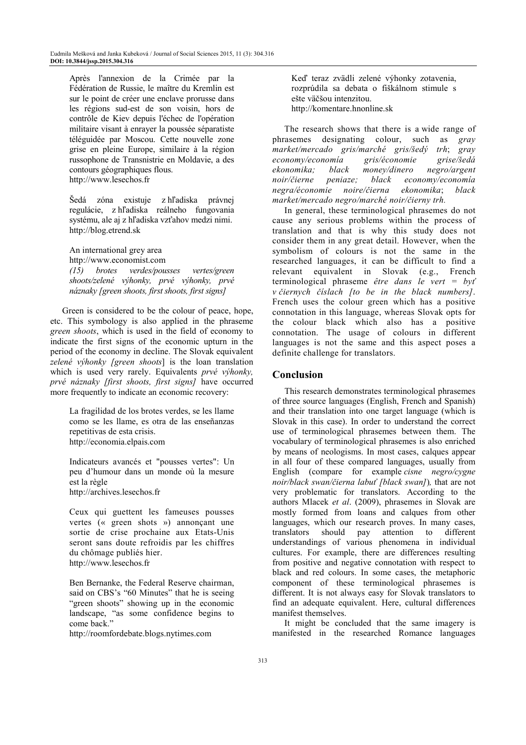Après l'annexion de la Crimée par la Fédération de Russie, le maître du Kremlin est sur le point de créer une enclave prorusse dans les régions sud-est de son voisin, hors de contrôle de Kiev depuis l'échec de l'opération militaire visant à enrayer la poussée séparatiste téléguidée par Moscou. Cette nouvelle zone grise en pleine Europe, similaire à la région russophone de Transnistrie en Moldavie, a des contours géographiques flous. http://www.lesechos.fr

Šedá zóna existuje z hľadiska právnej regulácie, z hľadiska reálneho fungovania systému, ale aj z hľadiska vzťahov medzi nimi. http://blog.etrend.sk

An international grey area http://www.economist.com *(15) brotes verdes/pousses vertes/green shoots/zelené výhonky, prvé výhonky, prvé náznaky [green shoots, first shoots, first signs]* 

Green is considered to be the colour of peace, hope, etc. This symbology is also applied in the phraseme *green shoots*, which is used in the field of economy to indicate the first signs of the economic upturn in the period of the economy in decline. The Slovak equivalent *zelené výhonky [green shoots*] is the loan translation which is used very rarely. Equivalents *prvé výhonky, prvé náznaky [first shoots, first signs]* have occurred more frequently to indicate an economic recovery:

La fragilidad de los brotes verdes, se les llame como se les llame, es otra de las enseñanzas repetitivas de esta crisis. http://economia.elpais.com

Indicateurs avancés et "pousses vertes": Un peu d'humour dans un monde où la mesure est la règle http://archives.lesechos.fr

Ceux qui guettent les fameuses pousses vertes (« green shots ») annonçant une sortie de crise prochaine aux Etats-Unis seront sans doute refroidis par les chiffres du chômage publiés hier. http://www.lesechos.fr

Ben Bernanke, the Federal Reserve chairman, said on CBS's "60 Minutes" that he is seeing "green shoots" showing up in the economic landscape, "as some confidence begins to come back."

http://roomfordebate.blogs.nytimes.com

Keď teraz zvädli zelené výhonky zotavenia, rozprúdila sa debata o fiškálnom stimule s ešte väčšou intenzitou. http://komentare.hnonline.sk

The research shows that there is a wide range of phrasemes designating colour, such as *gray market/mercado gris/marché gris/šedý trh*; *gray economy/economía* gris/économie<br>ekonomika; black money/dinero *ekonomika; black money/dinero negro/argent noir/čierne peniaze; black economy/economía negra/économie noire/čierna ekonomika*; *black market/mercado negro/marché noir/čierny trh.*

In general, these terminological phrasemes do not cause any serious problems within the process of translation and that is why this study does not consider them in any great detail. However, when the symbolism of colours is not the same in the researched languages, it can be difficult to find a relevant equivalent in Slovak (e.g., French terminological phraseme *être dans le vert = byť v čiernych číslach [to be in the black numbers]*. French uses the colour green which has a positive connotation in this language, whereas Slovak opts for the colour black which also has a positive connotation. The usage of colours in different languages is not the same and this aspect poses a definite challenge for translators.

#### **Conclusion**

This research demonstrates terminological phrasemes of three source languages (English, French and Spanish) and their translation into one target language (which is Slovak in this case). In order to understand the correct use of terminological phrasemes between them. The vocabulary of terminological phrasemes is also enriched by means of neologisms. In most cases, calques appear in all four of these compared languages, usually from English (compare for example *cisne negro/cygne noir/black swan/čierna labuť [black swan]*)*,* that are not very problematic for translators. According to the authors Mlacek *et al*. (2009), phrasemes in Slovak are mostly formed from loans and calques from other languages, which our research proves. In many cases, translators should pay attention to different translators should pay attention to different understandings of various phenomena in individual cultures. For example, there are differences resulting from positive and negative connotation with respect to black and red colours. In some cases, the metaphoric component of these terminological phrasemes is different. It is not always easy for Slovak translators to find an adequate equivalent. Here, cultural differences manifest themselves.

It might be concluded that the same imagery is manifested in the researched Romance languages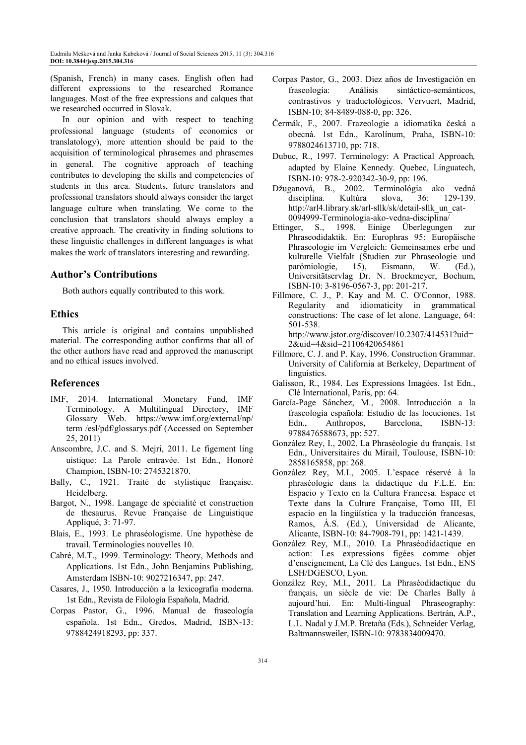(Spanish, French) in many cases. English often had different expressions to the researched Romance languages. Most of the free expressions and calques that we researched occurred in Slovak.

In our opinion and with respect to teaching professional language (students of economics or translatology), more attention should be paid to the acquisition of terminological phrasemes and phrasemes in general. The cognitive approach of teaching contributes to developing the skills and competencies of students in this area. Students, future translators and professional translators should always consider the target language culture when translating. We come to the conclusion that translators should always employ a creative approach. The creativity in finding solutions to these linguistic challenges in different languages is what makes the work of translators interesting and rewarding.

## **Author's Contributions**

Both authors equally contributed to this work.

# **Ethics**

This article is original and contains unpublished material. The corresponding author confirms that all of the other authors have read and approved the manuscript and no ethical issues involved.

#### **References**

- IMF, 2014. International Monetary Fund, IMF Terminology. A Multilingual Directory, IMF Glossary Web. https://www.imf.org/external/np/ term /esl/pdf/glossarys.pdf (Accessed on September 25, 2011)
- Anscombre, J.C. and S. Mejri, 2011. Le figement ling uistique: La Parole entravée. 1st Edn., Honoré Champion, ISBN-10: 2745321870.
- Bally, C., 1921. Traité de stylistique française. Heidelberg.
- Bargot, N., 1998. Langage de spécialité et construction de thesaurus. Revue Française de Linguistique Appliqué, 3: 71-97.
- Blais, E., 1993. Le phraséologisme. Une hypothèse de travail. Terminologies nouvelles 10.
- Cabré, M.T., 1999. Terminology: Theory, Methods and Applications. 1st Edn., John Benjamins Publishing, Amsterdam ISBN-10: 9027216347, pp: 247.
- Casares, J., 1950. Introducción a la lexicografía moderna. 1st Edn., Revista de Filología Española, Madrid.
- Corpas Pastor, G., 1996. Manual de fraseología española. 1st Edn., Gredos, Madrid, ISBN-13: 9788424918293, pp: 337.
- Corpas Pastor, G., 2003. Diez años de Investigación en fraseología: Análisis sintáctico-semánticos, contrastivos y traductológicos. Vervuert, Madrid, ISBN-10: 84-8489-088-0, pp: 326.
- Čermák, F., 2007. Frazeologie a idiomatika česká a obecná. 1st Edn., Karolínum, Praha, ISBN-10: 9788024613710, pp: 718.
- Dubuc, R., 1997. Terminology: A Practical Approach*,*  adapted by Elaine Kennedy. Quebec, Linguatech, ISBN-10: 978-2-920342-30-9, pp: 196.
- Džuganová, B., 2002. Terminológia ako vedná disciplína. Kultúra slova, 36: 129-139. http://arl4.library.sk/arl-sllk/sk/detail-sllk\_un\_cat-0094999-Terminologia-ako-vedna-disciplina/
- Ettinger, S., 1998. Einige Überlegungen zur Phraseodidaktik. En: Europhras 95: Europäische Phraseologie im Vergleich: Gemeinsames erbe und kulturelle Vielfalt (Studien zur Phraseologie und parömiologie, 15), Eismann, W. (Ed.), Universitätservlag Dr. N. Brockmeyer, Bochum, ISBN-10: 3-8196-0567-3, pp: 201-217.
- Fillmore, C. J., P. Kay and M. C. O'Connor, 1988. Regularity and idiomaticity in grammatical constructions: The case of let alone. Language, 64: 501-538. http://www.jstor.org/discover/10.2307/414531?uid=

2&uid=4&sid=21106420654861

- Fillmore, C. J. and P. Kay, 1996. Construction Grammar. University of California at Berkeley, Department of linguistics.
- Galisson, R., 1984. Les Expressions Imagées. 1st Edn., Clé International, Paris, pp: 64.
- García-Page Sánchez, M., 2008. Introducción a la fraseología española: Estudio de las locuciones. 1st Edn., Anthropos, Barcelona, ISBN-13: 9788476588673, pp: 527.
- González Rey, I., 2002. La Phraséologie du français. 1st Edn., Universitaires du Mirail, Toulouse, ISBN-10: 2858165858, pp: 268.
- González Rey, M.I., 2005. L'espace réservé à la phraséologie dans la didactique du F.L.E. En: Espacio y Texto en la Cultura Francesa. Espace et Texte dans la Culture Française, Tomo III, El espacio en la lingüística y la traducción francesas, Ramos, Á.S. (Ed.), Universidad de Alicante, Alicante, ISBN-10: 84-7908-791, pp: 1421-1439.
- González Rey, M.I., 2010. La Phraséodidactique en action: Les expressions figées comme objet d'enseignement, La Clé des Langues. 1st Edn., ENS LSH/DGESCO, Lyon.
- González Rey, M.I., 2011. La Phraséodidactique du français, un siècle de vie: De Charles Bally à aujourd'hui. En: Multi-lingual Phraseography: Translation and Learning Applications. Bertrán, A.P., L.L. Nadal y J.M.P. Bretaña (Eds.), Schneider Verlag, Baltmannsweiler, ISBN-10: 9783834009470.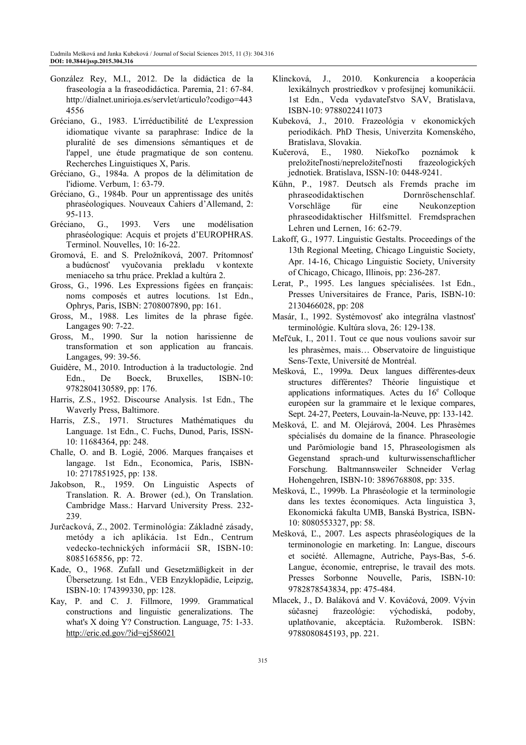- González Rey, M.I., 2012. De la didáctica de la fraseología a la fraseodidáctica. Paremia, 21: 67-84. http://dialnet.unirioja.es/servlet/articulo?codigo=443 4556
- Gréciano, G., 1983. L'irréductibilité de L'expression idiomatique vivante sa paraphrase: Indice de la pluralité de ses dimensions sémantiques et de l'appel¸ une étude pragmatique de son contenu. Recherches Linguistiques X, Paris.
- Gréciano, G., 1984a. A propos de la délimitation de l'idiome. Verbum, 1: 63-79.
- Gréciano, G., 1984b. Pour un apprentissage des unités phraséologiques. Nouveaux Cahiers d'Allemand, 2: 95-113.
- Gréciano, G., 1993. Vers une modélisation phraséologique: Acquis et projets d'EUROPHRAS. Terminol. Nouvelles, 10: 16-22.
- Gromová, E. and S. Preložníková, 2007. Prítomnosť a budúcnosť vyučovania prekladu v kontexte meniaceho sa trhu práce. Preklad a kultúra 2.
- Gross, G., 1996. Les Expressions figées en français: noms composés et autres locutions. 1st Edn., Ophrys, Paris, ISBN: 2708007890, pp: 161.
- Gross, M., 1988. Les limites de la phrase figée. Langages 90: 7-22.
- Gross, M., 1990. Sur la notion harissienne de transformation et son application au francais. Langages, 99: 39-56.
- Guidère, M., 2010. Introduction à la traductologie. 2nd Edn., De Boeck, Bruxelles, ISBN-10: 9782804130589, pp: 176.
- Harris, Z.S., 1952. Discourse Analysis. 1st Edn., The Waverly Press, Baltimore.
- Harris, Z.S., 1971. Structures Mathématiques du Language. 1st Edn., C. Fuchs, Dunod, Paris, ISSN-10: 11684364, pp: 248.
- Challe, O. and B. Logié, 2006. Marques françaises et langage. 1st Edn., Economica, Paris, ISBN-10: 2717851925, pp: 138.
- Jakobson, R., 1959. On Linguistic Aspects of Translation. R. A. Brower (ed.), On Translation. Cambridge Mass.: Harvard University Press. 232- 239.
- Jurčacková, Z., 2002. Terminológia: Základné zásady, metódy a ich aplikácia. 1st Edn., Centrum vedecko-technických informácií SR, ISBN-10: 8085165856, pp: 72.
- Kade, O., 1968. Zufall und Gesetzmäßigkeit in der Übersetzung. 1st Edn., VEB Enzyklopädie, Leipzig, ISBN-10: 174399330, pp: 128.
- Kay, P. and C. J. Fillmore, 1999. Grammatical constructions and linguistic generalizations. The what's X doing Y? Construction. Language, 75: 1-33. http://eric.ed.gov/?id=ej586021
- Klincková, J., 2010. Konkurencia a kooperácia lexikálnych prostriedkov v profesijnej komunikácii. 1st Edn., Veda vydavateľstvo SAV, Bratislava, ISBN-10: 9788022411073
- Kubeková, J., 2010. Frazeológia v ekonomických periodikách. PhD Thesis, Univerzita Komenského, Bratislava, Slovakia.
- Kučerová, E., 1980. Niekoľko poznámok k preložiteľnosti/nepreložiteľnosti frazeologických jednotiek. Bratislava, ISSN-10: 0448-9241.
- Kühn, P., 1987. Deutsch als Fremds prache im phraseodidaktischen Dornröschenschlaf. Vorschläge für eine Neukonzeption phraseodidaktischer Hilfsmittel. Fremdsprachen Lehren und Lernen, 16: 62-79.
- Lakoff, G., 1977. Linguistic Gestalts. Proceedings of the 13th Regional Meeting, Chicago Linguistic Society, Apr. 14-16, Chicago Linguistic Society, University of Chicago, Chicago, Illinois, pp: 236-287.
- Lerat, P., 1995. Les langues spécialisées. 1st Edn., Presses Universitaires de France, Paris, ISBN-10: 2130466028, pp: 208
- Masár, I., 1992. Systémovosť ako integrálna vlastnosť terminológie. Kultúra slova, 26: 129-138.
- Meľčuk, I., 2011. Tout ce que nous voulions savoir sur les phrasèmes, mais… Observatoire de linguistique Sens-Texte, Université de Montréal.
- Mešková, Ľ., 1999a. Deux langues différentes-deux structures différentes? Théorie linguistique et applications informatiques. Actes du 16<sup>e</sup> Colloque européen sur la grammaire et le lexique compares, Sept. 24-27, Peeters, Louvain-la-Neuve, pp: 133-142.
- Mešková, Ľ. and M. Olejárová, 2004. Les Phrasèmes spécialisés du domaine de la finance. Phraseologie und Parömiologie band 15, Phraseologismen als Gegenstand sprach-und kulturwissenschaftlicher Forschung. Baltmannsweiler Schneider Verlag Hohengehren, ISBN-10: 3896768808, pp: 335.
- Mešková, Ľ., 1999b. La Phraséologie et la terminologie dans les textes économiques. Acta linguistica 3, Ekonomická fakulta UMB, Banská Bystrica, ISBN-10: 8080553327, pp: 58.
- Mešková, Ľ., 2007. Les aspects phraséologiques de la terminonologie en marketing. In: Langue, discours et société. Allemagne, Autriche, Pays-Bas, 5-6. Langue, économie, entreprise, le travail des mots. Presses Sorbonne Nouvelle, Paris, ISBN-10: 9782878543834, pp: 475-484.
- Mlacek, J., D. Baláková and V. Kováčová, 2009. Vývin súčasnej frazeológie: východiská, podoby, uplatňovanie, akceptácia. Ružomberok. ISBN: 9788080845193, pp. 221.